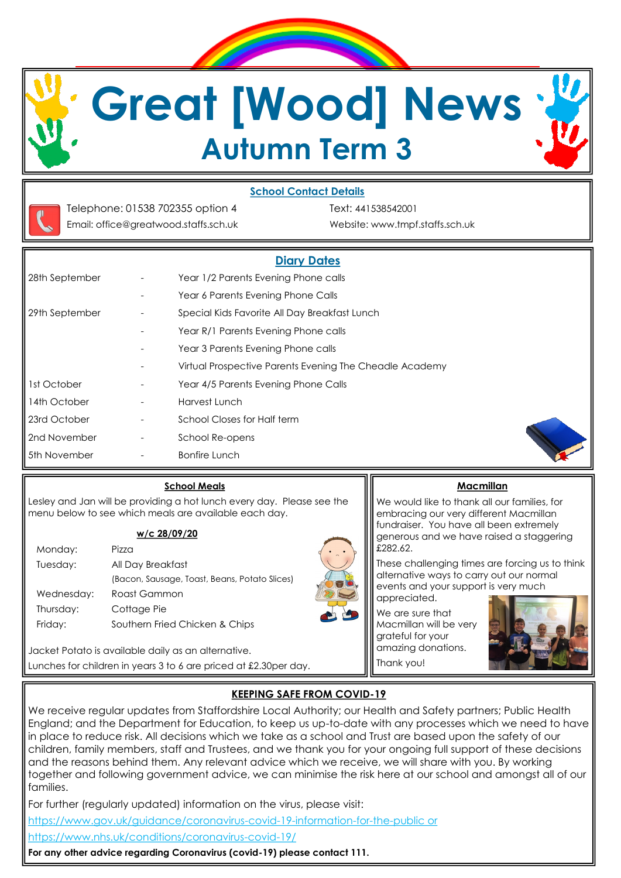

### **School Contact Details**



Email: office@greatwood.staffs.sch.uk Website: www.tmpf.staffs.sch.uk

Telephone: 01538 702355 option 4 Text: 441538542001

|                |                          | <b>Diary Dates</b>                                      |  |
|----------------|--------------------------|---------------------------------------------------------|--|
| 28th September |                          | Year 1/2 Parents Evening Phone calls                    |  |
|                |                          | Year 6 Parents Evening Phone Calls                      |  |
| 29th September |                          | Special Kids Favorite All Day Breakfast Lunch           |  |
|                |                          | Year R/1 Parents Evening Phone calls                    |  |
|                |                          | Year 3 Parents Evening Phone calls                      |  |
|                |                          | Virtual Prospective Parents Evening The Cheadle Academy |  |
| Ist October    | $\overline{\phantom{a}}$ | Year 4/5 Parents Evening Phone Calls                    |  |
| 4th October    |                          | Harvest Lunch                                           |  |
| 23rd October   | $\overline{\phantom{a}}$ | School Closes for Half term                             |  |
| 2nd November   |                          | School Re-opens                                         |  |
| 5th November   |                          | <b>Bonfire Lunch</b>                                    |  |

#### **School Meals**

Lesley and Jan will be providing a hot lunch every day. Please see the menu below to see which meals are available each day.

#### **w/c 28/09/20**

| Monday:    | Pizz <sub>0</sub>                             |
|------------|-----------------------------------------------|
| Tuesday:   | All Day Breakfast                             |
|            | (Bacon, Sausage, Toast, Beans, Potato Slices) |
| Wednesday: | Roast Gammon                                  |
| Thursday:  | Cottage Pie                                   |
| Friday:    | Southern Fried Chicken & Chips                |
|            |                                               |

Jacket Potato is available daily as an alternative. Lunches for children in years 3 to 6 are priced at £2.30per day.

### **Macmillan**

We would like to thank all our families, for embracing our very different Macmillan fundraiser. You have all been extremely generous and we have raised a staggering £282.62.

These challenging times are forcing us to think alternative ways to carry out our normal events and your support is very much appreciated.

We are sure that Macmillan will be very grateful for your amazing donations. Thank you!



# **KEEPING SAFE FROM COVID-19**

We receive regular updates from Staffordshire Local Authority; our Health and Safety partners; Public Health England; and the Department for Education, to keep us up-to-date with any processes which we need to have in place to reduce risk. All decisions which we take as a school and Trust are based upon the safety of our children, family members, staff and Trustees, and we thank you for your ongoing full support of these decisions and the reasons behind them. Any relevant advice which we receive, we will share with you. By working together and following government advice, we can minimise the risk here at our school and amongst all of our families.

For further (regularly updated) information on the virus, please visit:

https://www.gov.uk/guidance/coronavirus-covid-19-information-for-the-public or

https://www.nhs.uk/conditions/coronavirus-covid-19/

**For any other advice regarding Coronavirus (covid-19) please contact 111.**